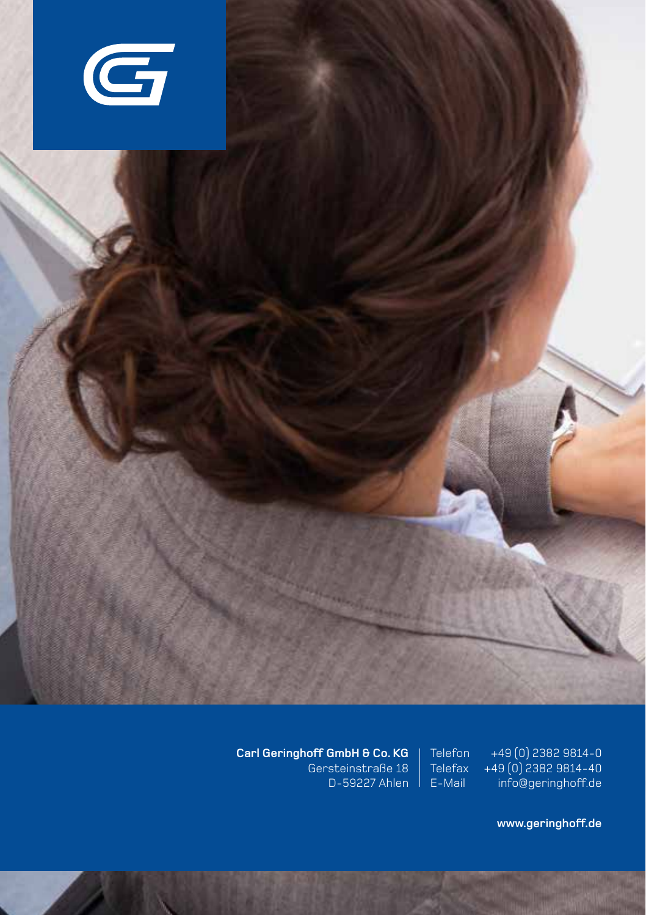

**Carl Geringhoff GmbH & Co. KG** Gersteinstraße 18 D-59227 Ahlen E-Mail

+49 (0) 2382 9814-0 +49 (0) 2382 9814-40 info@geringhoff.de

**Telefax** 

**www.geringhoff.de**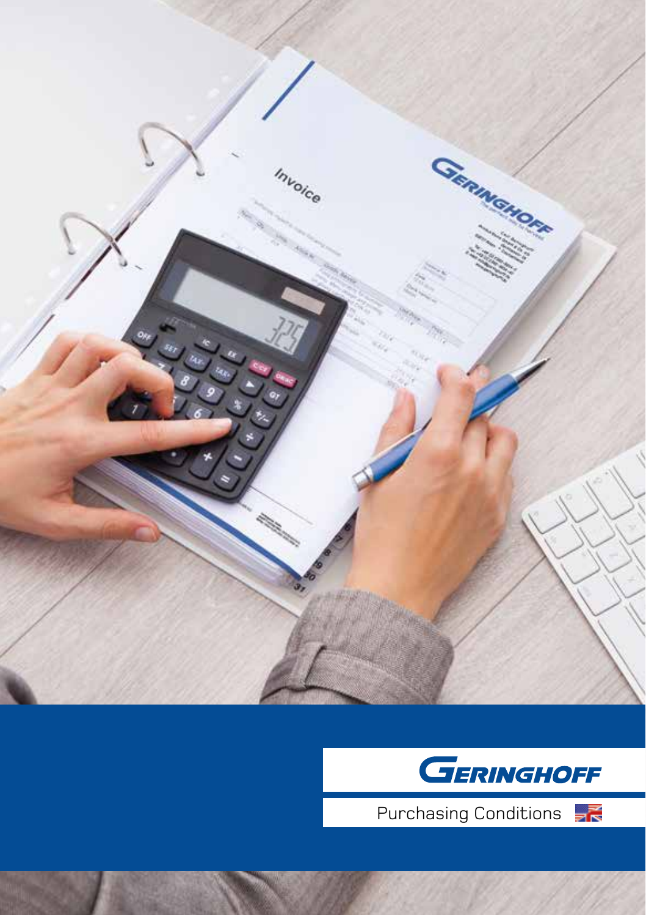



Purchasing Conditions <sub>三</sub>

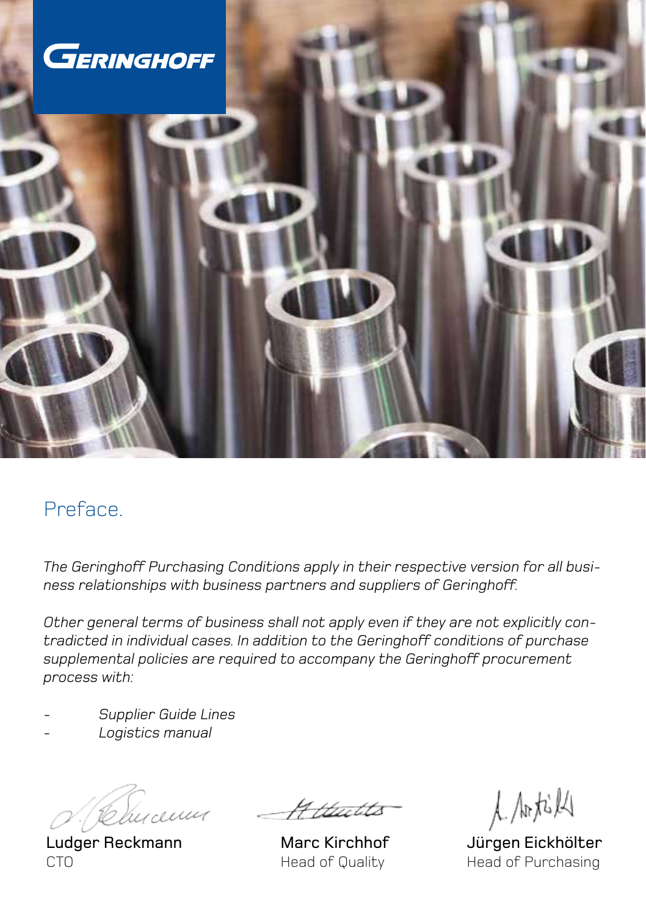

# Preface.

*The Geringhoff Purchasing Conditions apply in their respective version for all business relationships with business partners and suppliers of Geringhoff.*

*Other general terms of business shall not apply even if they are not explicitly contradicted in individual cases. In addition to the Geringhoff conditions of purchase supplemental policies are required to accompany the Geringhoff procurement process with:*

- *- Supplier Guide Lines*
- *- Logistics manual*

Blucenus

Ludger Reckmann **CTO** 

-Httuitto

Marc Kirchhof Head of Quality

人瓜松

Jürgen Eickhölter Head of Purchasing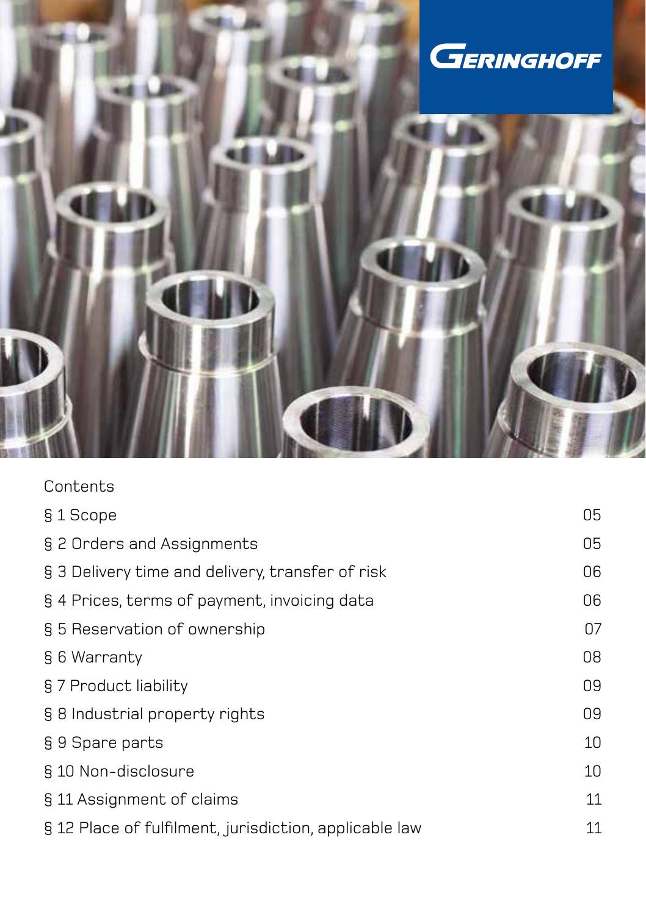

| Contents                                               |    |
|--------------------------------------------------------|----|
| §1 Scope                                               | 05 |
| § 2 Orders and Assignments                             | 05 |
| § 3 Delivery time and delivery, transfer of risk       | 06 |
| § 4 Prices, terms of payment, invoicing data           | 06 |
| § 5 Reservation of ownership                           | 07 |
| § 6 Warranty                                           | 08 |
| § 7 Product liability                                  | 09 |
| § 8 Industrial property rights                         | 09 |
| § 9 Spare parts                                        | 10 |
| § 10 Non-disclosure                                    | 10 |
| § 11 Assignment of claims                              | 11 |
| § 12 Place of fulfilment, jurisdiction, applicable law | 11 |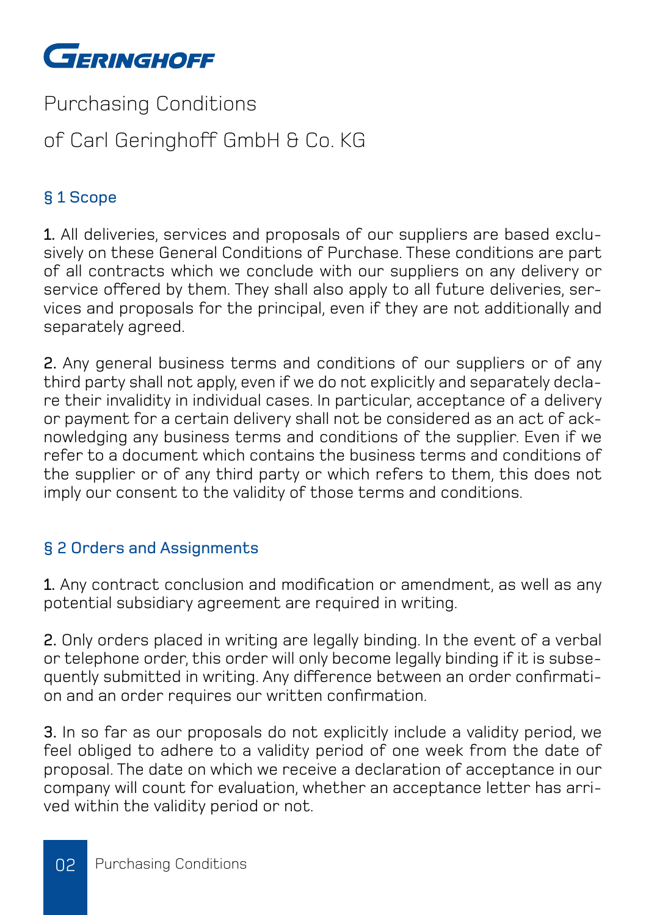

Purchasing Conditions

# of Carl Geringhoff GmbH & Co. KG

# § 1 Scope

1. All deliveries, services and proposals of our suppliers are based exclusively on these General Conditions of Purchase. These conditions are part of all contracts which we conclude with our suppliers on any delivery or service offered by them. They shall also apply to all future deliveries, services and proposals for the principal, even if they are not additionally and separately agreed.

2. Any general business terms and conditions of our suppliers or of any third party shall not apply, even if we do not explicitly and separately declare their invalidity in individual cases. In particular, acceptance of a delivery or payment for a certain delivery shall not be considered as an act of acknowledging any business terms and conditions of the supplier. Even if we refer to a document which contains the business terms and conditions of the supplier or of any third party or which refers to them, this does not imply our consent to the validity of those terms and conditions.

# § 2 Orders and Assignments

1. Any contract conclusion and modification or amendment, as well as any potential subsidiary agreement are required in writing.

2. Only orders placed in writing are legally binding. In the event of a verbal or telephone order, this order will only become legally binding if it is subsequently submitted in writing. Any difference between an order confirmation and an order requires our written confirmation.

3. In so far as our proposals do not explicitly include a validity period, we feel obliged to adhere to a validity period of one week from the date of proposal. The date on which we receive a declaration of acceptance in our company will count for evaluation, whether an acceptance letter has arrived within the validity period or not.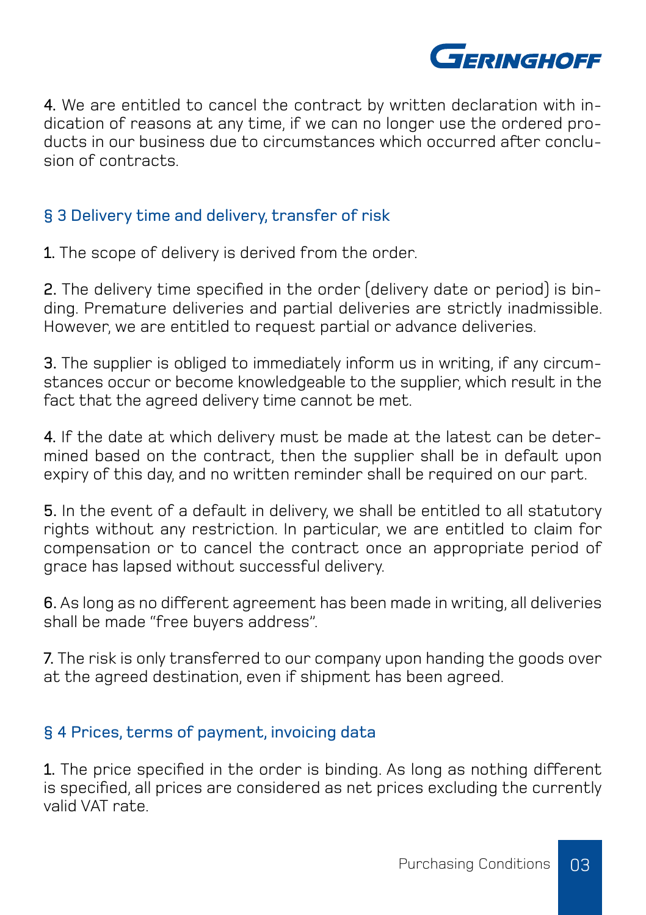

4. We are entitled to cancel the contract by written declaration with indication of reasons at any time, if we can no longer use the ordered products in our business due to circumstances which occurred after conclusion of contracts.

## § 3 Delivery time and delivery, transfer of risk

1. The scope of delivery is derived from the order.

2. The delivery time specified in the order (delivery date or period) is binding. Premature deliveries and partial deliveries are strictly inadmissible. However, we are entitled to request partial or advance deliveries.

3. The supplier is obliged to immediately inform us in writing, if any circumstances occur or become knowledgeable to the supplier, which result in the fact that the agreed delivery time cannot be met.

4. If the date at which delivery must be made at the latest can be determined based on the contract, then the supplier shall be in default upon expiry of this day, and no written reminder shall be required on our part.

5. In the event of a default in delivery, we shall be entitled to all statutory rights without any restriction. In particular, we are entitled to claim for compensation or to cancel the contract once an appropriate period of grace has lapsed without successful delivery.

6. As long as no different agreement has been made in writing, all deliveries shall be made "free buyers address".

7. The risk is only transferred to our company upon handing the goods over at the agreed destination, even if shipment has been agreed.

### § 4 Prices, terms of payment, invoicing data

1. The price specified in the order is binding. As long as nothing different is specified, all prices are considered as net prices excluding the currently valid VAT rate.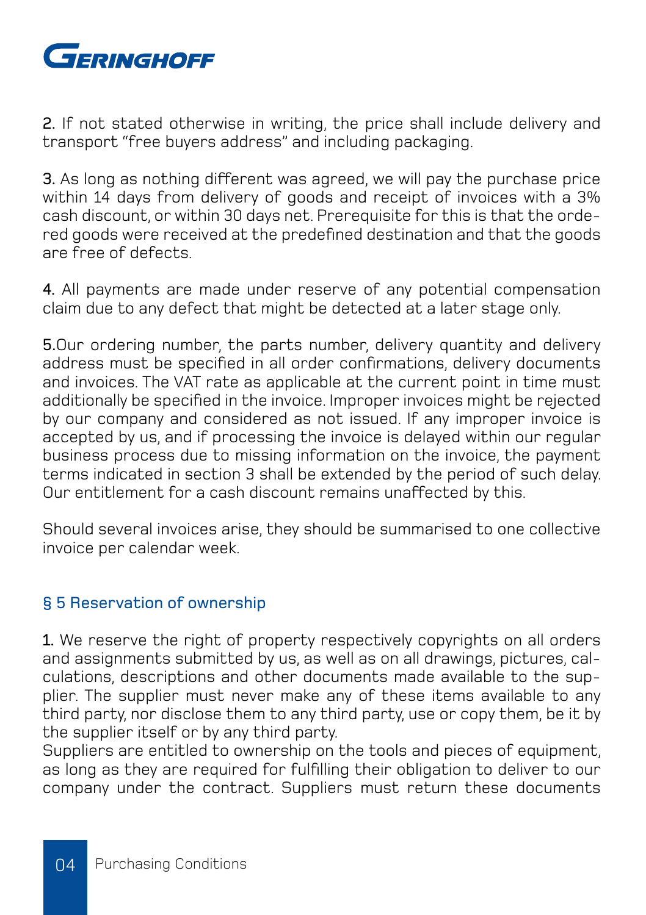

2. If not stated otherwise in writing, the price shall include delivery and transport "free buyers address" and including packaging.

3. As long as nothing different was agreed, we will pay the purchase price within 14 days from delivery of goods and receipt of invoices with a 3% cash discount, or within 30 days net. Prerequisite for this is that the ordered goods were received at the predefined destination and that the goods are free of defects.

4. All payments are made under reserve of any potential compensation claim due to any defect that might be detected at a later stage only.

5.Our ordering number, the parts number, delivery quantity and delivery address must be specified in all order confirmations, delivery documents and invoices. The VAT rate as applicable at the current point in time must additionally be specified in the invoice. Improper invoices might be rejected by our company and considered as not issued. If any improper invoice is accepted by us, and if processing the invoice is delayed within our regular business process due to missing information on the invoice, the payment terms indicated in section 3 shall be extended by the period of such delay. Our entitlement for a cash discount remains unaffected by this.

Should several invoices arise, they should be summarised to one collective invoice per calendar week.

#### § 5 Reservation of ownership

1. We reserve the right of property respectively copyrights on all orders and assignments submitted by us, as well as on all drawings, pictures, calculations, descriptions and other documents made available to the supplier. The supplier must never make any of these items available to any third party, nor disclose them to any third party, use or copy them, be it by the supplier itself or by any third party.

Suppliers are entitled to ownership on the tools and pieces of equipment. as long as they are required for fulfilling their obligation to deliver to our company under the contract. Suppliers must return these documents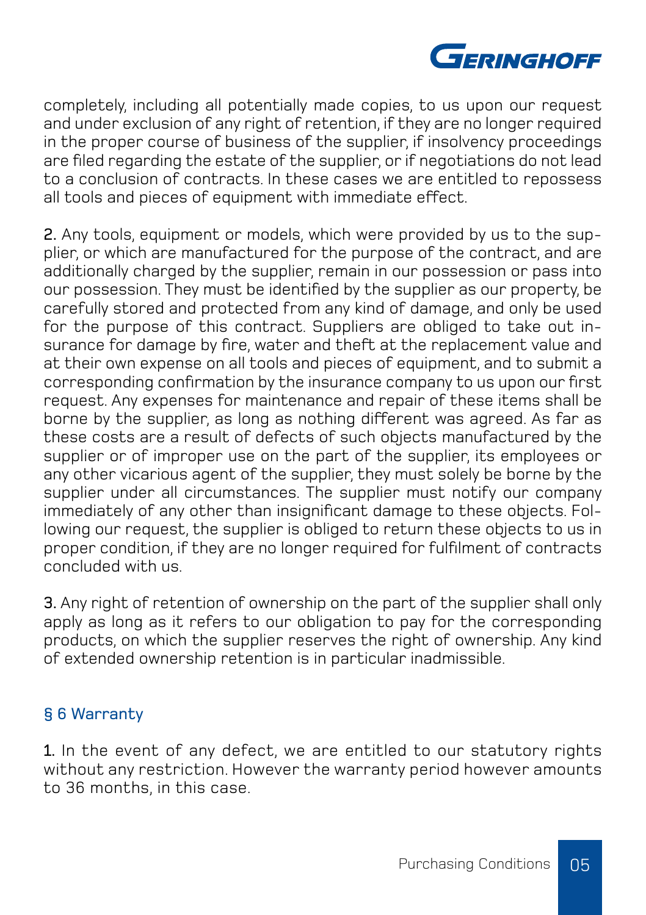

completely, including all potentially made copies, to us upon our request and under exclusion of any right of retention, if they are no longer required in the proper course of business of the supplier, if insolvency proceedings are filed regarding the estate of the supplier, or if negotiations do not lead to a conclusion of contracts. In these cases we are entitled to repossess all tools and pieces of equipment with immediate effect.

2. Any tools, equipment or models, which were provided by us to the supplier, or which are manufactured for the purpose of the contract, and are additionally charged by the supplier, remain in our possession or pass into our possession. They must be identified by the supplier as our property, be carefully stored and protected from any kind of damage, and only be used for the purpose of this contract. Suppliers are obliged to take out insurance for damage by fire, water and theft at the replacement value and at their own expense on all tools and pieces of equipment, and to submit a corresponding confirmation by the insurance company to us upon our first request. Any expenses for maintenance and repair of these items shall be borne by the supplier, as long as nothing different was agreed. As far as these costs are a result of defects of such objects manufactured by the supplier or of improper use on the part of the supplier, its employees or any other vicarious agent of the supplier, they must solely be borne by the supplier under all circumstances. The supplier must notify our company immediately of any other than insignificant damage to these objects. Following our request, the supplier is obliged to return these objects to us in proper condition, if they are no longer required for fulfilment of contracts concluded with us.

3. Any right of retention of ownership on the part of the supplier shall only apply as long as it refers to our obligation to pay for the corresponding products, on which the supplier reserves the right of ownership. Any kind of extended ownership retention is in particular inadmissible.

#### § 6 Warranty

1. In the event of any defect, we are entitled to our statutory rights without any restriction. However the warranty period however amounts to 36 months, in this case.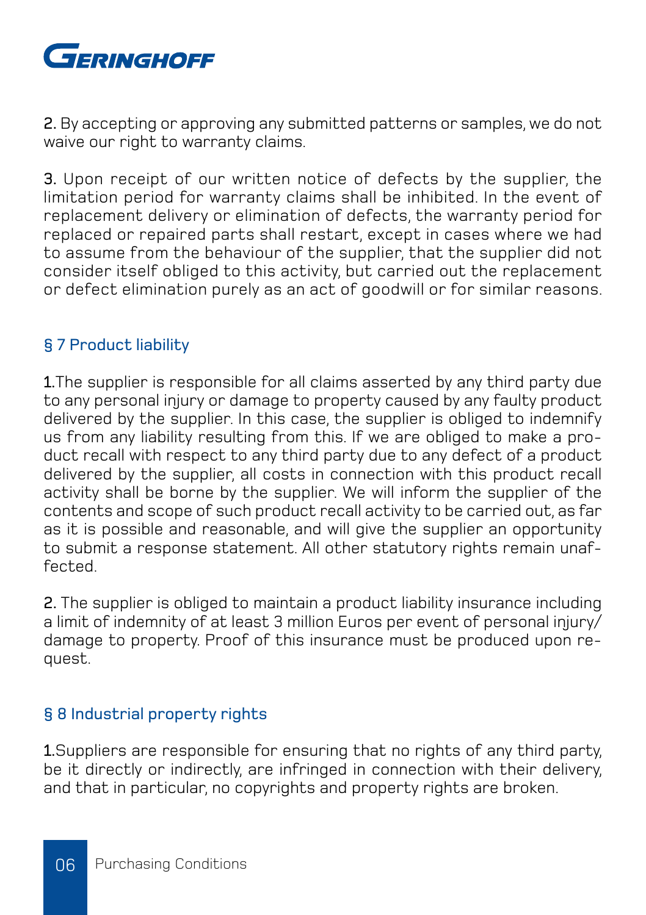

2. By accepting or approving any submitted patterns or samples, we do not waive our right to warranty claims.

3. Upon receipt of our written notice of defects by the supplier, the limitation period for warranty claims shall be inhibited. In the event of replacement delivery or elimination of defects, the warranty period for replaced or repaired parts shall restart, except in cases where we had to assume from the behaviour of the supplier, that the supplier did not consider itself obliged to this activity, but carried out the replacement or defect elimination purely as an act of goodwill or for similar reasons.

#### § 7 Product liability

1.The supplier is responsible for all claims asserted by any third party due to any personal injury or damage to property caused by any faulty product delivered by the supplier. In this case, the supplier is obliged to indemnify us from any liability resulting from this. If we are obliged to make a product recall with respect to any third party due to any defect of a product delivered by the supplier, all costs in connection with this product recall activity shall be borne by the supplier. We will inform the supplier of the contents and scope of such product recall activity to be carried out, as far as it is possible and reasonable, and will give the supplier an opportunity to submit a response statement. All other statutory rights remain unaffected.

2. The supplier is obliged to maintain a product liability insurance including a limit of indemnity of at least 3 million Euros per event of personal injury/ damage to property. Proof of this insurance must be produced upon request.

### § 8 Industrial property rights

1.Suppliers are responsible for ensuring that no rights of any third party, be it directly or indirectly, are infringed in connection with their delivery. and that in particular, no copyrights and property rights are broken.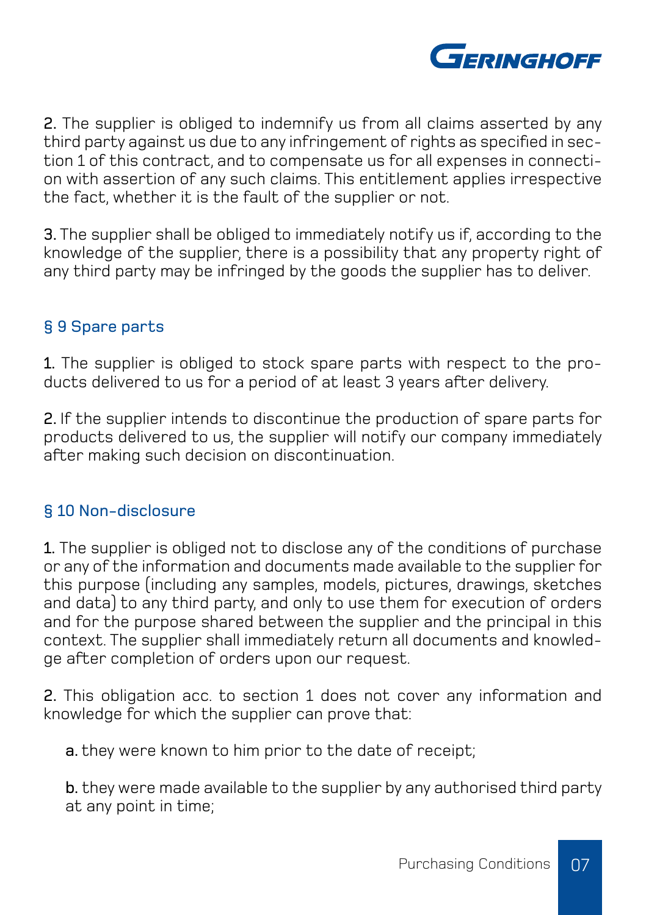

2. The supplier is obliged to indemnify us from all claims asserted by any third party against us due to any infringement of rights as specified in section 1 of this contract, and to compensate us for all expenses in connection with assertion of any such claims. This entitlement applies irrespective the fact, whether it is the fault of the supplier or not.

3. The supplier shall be obliged to immediately notify us if, according to the knowledge of the supplier, there is a possibility that any property right of any third party may be infringed by the goods the supplier has to deliver.

# § 9 Spare parts

1. The supplier is obliged to stock spare parts with respect to the products delivered to us for a period of at least 3 years after delivery.

2. If the supplier intends to discontinue the production of spare parts for products delivered to us, the supplier will notify our company immediately after making such decision on discontinuation.

#### § 10 Non-disclosure

1. The supplier is obliged not to disclose any of the conditions of purchase or any of the information and documents made available to the supplier for this purpose (including any samples, models, pictures, drawings, sketches and data) to any third party, and only to use them for execution of orders and for the purpose shared between the supplier and the principal in this context. The supplier shall immediately return all documents and knowledge after completion of orders upon our request.

2. This obligation acc. to section 1 does not cover any information and knowledge for which the supplier can prove that:

a. they were known to him prior to the date of receipt:

b. they were made available to the supplier by any authorised third party at any point in time;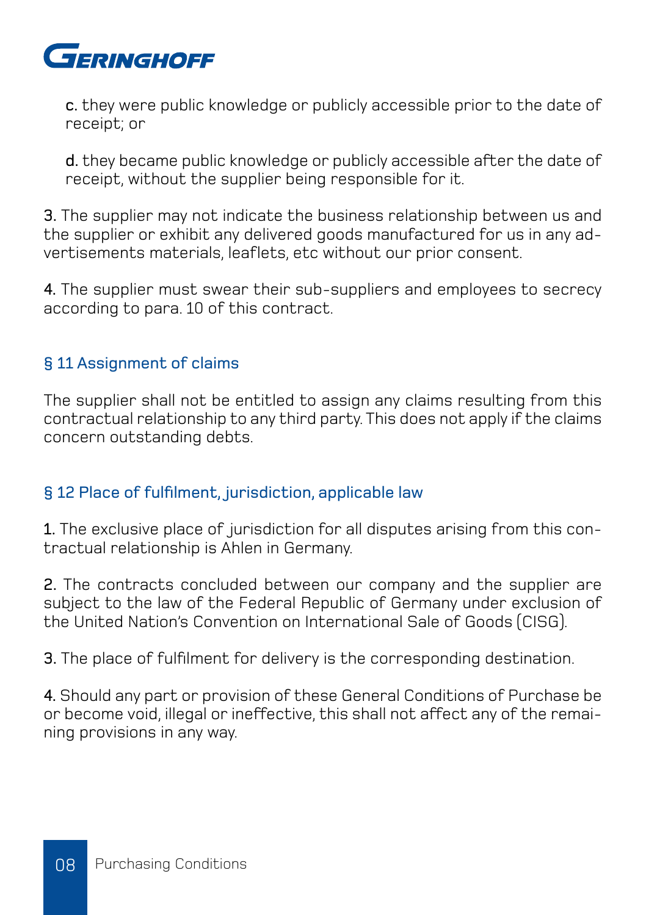

c. they were public knowledge or publicly accessible prior to the date of receipt; or

d. they became public knowledge or publicly accessible after the date of receipt, without the supplier being responsible for it.

3. The supplier may not indicate the business relationship between us and the supplier or exhibit any delivered goods manufactured for us in any advertisements materials, leaflets, etc without our prior consent.

4. The supplier must swear their sub-suppliers and employees to secrecy according to para. 10 of this contract.

# § 11 Assignment of claims

The supplier shall not be entitled to assign any claims resulting from this contractual relationship to any third party. This does not apply if the claims concern outstanding debts.

#### § 12 Place of fulfilment, jurisdiction, applicable law

1. The exclusive place of jurisdiction for all disputes arising from this contractual relationship is Ahlen in Germany.

2. The contracts concluded between our company and the supplier are subject to the law of the Federal Republic of Germany under exclusion of the United Nation's Convention on International Sale of Goods (CISG).

3. The place of fulfilment for delivery is the corresponding destination.

4. Should any part or provision of these General Conditions of Purchase be or become void, illegal or ineffective, this shall not affect any of the remaining provisions in any way.